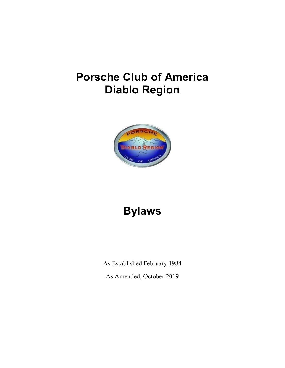# Porsche Club of America Diablo Region



# Bylaws

As Established February 1984

As Amended, October 2019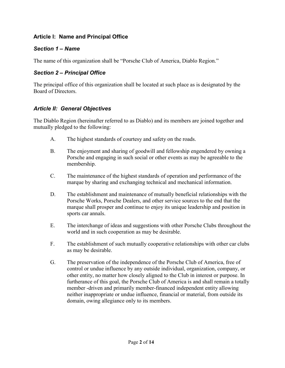#### Article I: Name and Principal Office

#### Section 1 – Name

The name of this organization shall be "Porsche Club of America, Diablo Region."

## Section 2 – Principal Office

The principal office of this organization shall be located at such place as is designated by the Board of Directors.

#### Article II: General Objectives

The Diablo Region (hereinafter referred to as Diablo) and its members are joined together and mutually pledged to the following:

- A. The highest standards of courtesy and safety on the roads.
- B. The enjoyment and sharing of goodwill and fellowship engendered by owning a Porsche and engaging in such social or other events as may be agreeable to the membership.
- C. The maintenance of the highest standards of operation and performance of the marque by sharing and exchanging technical and mechanical information.
- D. The establishment and maintenance of mutually beneficial relationships with the Porsche Works, Porsche Dealers, and other service sources to the end that the marque shall prosper and continue to enjoy its unique leadership and position in sports car annals.
- E. The interchange of ideas and suggestions with other Porsche Clubs throughout the world and in such cooperation as may be desirable.
- F. The establishment of such mutually cooperative relationships with other car clubs as may be desirable.
- G. The preservation of the independence of the Porsche Club of America, free of control or undue influence by any outside individual, organization, company, or other entity, no matter how closely aligned to the Club in interest or purpose. In furtherance of this goal, the Porsche Club of America is and shall remain a totally member -driven and primarily member-financed independent entity allowing neither inappropriate or undue influence, financial or material, from outside its domain, owing allegiance only to its members.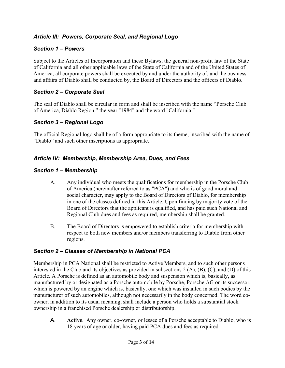## Article III: Powers, Corporate Seal, and Regional Logo

## Section 1 – Powers

Subject to the Articles of Incorporation and these Bylaws, the general non-profit law of the State of California and all other applicable laws of the State of California and of the United States of America, all corporate powers shall be executed by and under the authority of, and the business and affairs of Diablo shall be conducted by, the Board of Directors and the officers of Diablo.

## Section 2 – Corporate Seal

The seal of Diablo shall be circular in form and shall be inscribed with the name "Porsche Club of America, Diablo Region," the year "1984" and the word "California."

## Section 3 – Regional Logo

The official Regional logo shall be of a form appropriate to its theme, inscribed with the name of "Diablo" and such other inscriptions as appropriate.

## Article IV: Membership, Membership Area, Dues, and Fees

## Section 1 – Membership

- A. Any individual who meets the qualifications for membership in the Porsche Club of America (hereinafter referred to as "PCA") and who is of good moral and social character, may apply to the Board of Directors of Diablo, for membership in one of the classes defined in this Article. Upon finding by majority vote of the Board of Directors that the applicant is qualified, and has paid such National and Regional Club dues and fees as required, membership shall be granted.
- B. The Board of Directors is empowered to establish criteria for membership with respect to both new members and/or members transferring to Diablo from other regions.

# Section 2 – Classes of Membership in National PCA

Membership in PCA National shall be restricted to Active Members, and to such other persons interested in the Club and its objectives as provided in subsections 2 (A), (B), (C), and (D) of this Article. A Porsche is defined as an automobile body and suspension which is, basically, as manufactured by or designated as a Porsche automobile by Porsche, Porsche AG or its successor, which is powered by an engine which is, basically, one which was installed in such bodies by the manufacturer of such automobiles, although not necessarily in the body concerned. The word coowner, in addition to its usual meaning, shall include a person who holds a substantial stock ownership in a franchised Porsche dealership or distributorship.

A. Active. Any owner, co-owner, or lessee of a Porsche acceptable to Diablo, who is 18 years of age or older, having paid PCA dues and fees as required.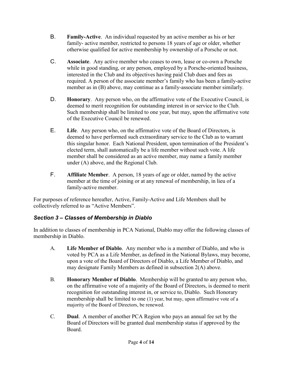- B. Family-Active. An individual requested by an active member as his or her family- active member, restricted to persons 18 years of age or older, whether otherwise qualified for active membership by ownership of a Porsche or not.
- C. Associate. Any active member who ceases to own, lease or co-own a Porsche while in good standing, or any person, employed by a Porsche-oriented business, interested in the Club and its objectives having paid Club dues and fees as required. A person of the associate member's family who has been a family-active member as in (B) above, may continue as a family-associate member similarly.
- D. Honorary. Any person who, on the affirmative vote of the Executive Council, is deemed to merit recognition for outstanding interest in or service to the Club. Such membership shall be limited to one year, but may, upon the affirmative vote of the Executive Council be renewed.
- E. Life. Any person who, on the affirmative vote of the Board of Directors, is deemed to have performed such extraordinary service to the Club as to warrant this singular honor. Each National President, upon termination of the President's elected term, shall automatically be a life member without such vote. A life member shall be considered as an active member, may name a family member under (A) above, and the Regional Club.
- F. Affiliate Member. A person, 18 years of age or older, named by the active member at the time of joining or at any renewal of membership, in lieu of a family-active member.

For purposes of reference hereafter, Active, Family-Active and Life Members shall be collectively referred to as "Active Members".

# Section 3 – Classes of Membership in Diablo

In addition to classes of membership in PCA National, Diablo may offer the following classes of membership in Diablo.

- A. Life Member of Diablo. Any member who is a member of Diablo, and who is voted by PCA as a Life Member, as defined in the National Bylaws, may become, upon a vote of the Board of Directors of Diablo, a Life Member of Diablo, and may designate Family Members as defined in subsection 2(A) above.
- B. Honorary Member of Diablo. Membership will be granted to any person who, on the affirmative vote of a majority of the Board of Directors, is deemed to merit recognition for outstanding interest in, or service to, Diablo. Such Honorary membership shall be limited to one (1) year, but may, upon affirmative vote of a majority of the Board of Directors, be renewed.
- C. Dual. A member of another PCA Region who pays an annual fee set by the Board of Directors will be granted dual membership status if approved by the Board.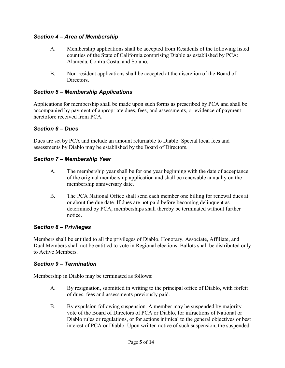#### Section 4 – Area of Membership

- A. Membership applications shall be accepted from Residents of the following listed counties of the State of California comprising Diablo as established by PCA: Alameda, Contra Costa, and Solano.
- B. Non-resident applications shall be accepted at the discretion of the Board of Directors.

#### Section 5 – Membership Applications

Applications for membership shall be made upon such forms as prescribed by PCA and shall be accompanied by payment of appropriate dues, fees, and assessments, or evidence of payment heretofore received from PCA.

#### Section 6 – Dues

Dues are set by PCA and include an amount returnable to Diablo. Special local fees and assessments by Diablo may be established by the Board of Directors.

#### Section 7 – Membership Year

- A. The membership year shall be for one year beginning with the date of acceptance of the original membership application and shall be renewable annually on the membership anniversary date.
- B. The PCA National Office shall send each member one billing for renewal dues at or about the due date. If dues are not paid before becoming delinquent as determined by PCA, memberships shall thereby be terminated without further notice.

## Section 8 – Privileges

Members shall be entitled to all the privileges of Diablo. Honorary, Associate, Affiliate, and Dual Members shall not be entitled to vote in Regional elections. Ballots shall be distributed only to Active Members.

#### Section 9 – Termination

Membership in Diablo may be terminated as follows:

- A. By resignation, submitted in writing to the principal office of Diablo, with forfeit of dues, fees and assessments previously paid.
- B. By expulsion following suspension. A member may be suspended by majority vote of the Board of Directors of PCA or Diablo, for infractions of National or Diablo rules or regulations, or for actions inimical to the general objectives or best interest of PCA or Diablo. Upon written notice of such suspension, the suspended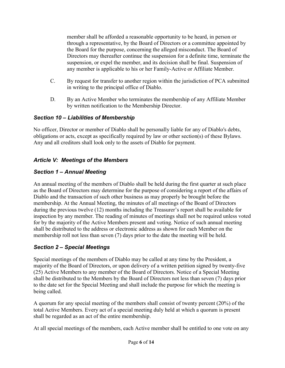member shall be afforded a reasonable opportunity to be heard, in person or through a representative, by the Board of Directors or a committee appointed by the Board for the purpose, concerning the alleged misconduct. The Board of Directors may thereafter continue the suspension for a definite time, terminate the suspension, or expel the member, and its decision shall be final. Suspension of any member is applicable to his or her Family-Active or Affiliate Member.

- C. By request for transfer to another region within the jurisdiction of PCA submitted in writing to the principal office of Diablo.
- D. By an Active Member who terminates the membership of any Affiliate Member by written notification to the Membership Director.

## Section 10 – Liabilities of Membership

No officer, Director or member of Diablo shall be personally liable for any of Diablo's debts, obligations or acts, except as specifically required by law or other section(s) of these Bylaws. Any and all creditors shall look only to the assets of Diablo for payment.

# Article V: Meetings of the Members

## Section 1 – Annual Meeting

An annual meeting of the members of Diablo shall be held during the first quarter at such place as the Board of Directors may determine for the purpose of considering a report of the affairs of Diablo and the transaction of such other business as may properly be brought before the membership. At the Annual Meeting, the minutes of all meetings of the Board of Directors during the previous twelve (12) months including the Treasurer's report shall be available for inspection by any member. The reading of minutes of meetings shall not be required unless voted for by the majority of the Active Members present and voting. Notice of such annual meeting shall be distributed to the address or electronic address as shown for each Member on the membership roll not less than seven (7) days prior to the date the meeting will be held.

## Section 2 – Special Meetings

Special meetings of the members of Diablo may be called at any time by the President, a majority of the Board of Directors, or upon delivery of a written petition signed by twenty-five (25) Active Members to any member of the Board of Directors. Notice of a Special Meeting shall be distributed to the Members by the Board of Directors not less than seven (7) days prior to the date set for the Special Meeting and shall include the purpose for which the meeting is being called.

A quorum for any special meeting of the members shall consist of twenty percent (20%) of the total Active Members. Every act of a special meeting duly held at which a quorum is present shall be regarded as an act of the entire membership.

At all special meetings of the members, each Active member shall be entitled to one vote on any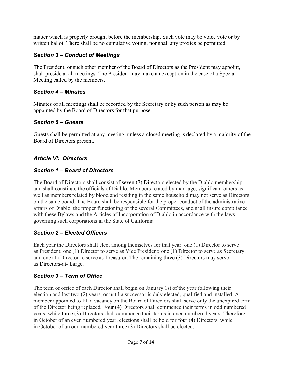matter which is properly brought before the membership. Such vote may be voice vote or by written ballot. There shall be no cumulative voting, nor shall any proxies be permitted.

## Section 3 – Conduct of Meetings

The President, or such other member of the Board of Directors as the President may appoint, shall preside at all meetings. The President may make an exception in the case of a Special Meeting called by the members.

## Section 4 – Minutes

Minutes of all meetings shall be recorded by the Secretary or by such person as may be appointed by the Board of Directors for that purpose.

## Section 5 – Guests

Guests shall be permitted at any meeting, unless a closed meeting is declared by a majority of the Board of Directors present.

## Article VI: Directors

## Section 1 – Board of Directors

The Board of Directors shall consist of seven (7) Directors elected by the Diablo membership, and shall constitute the officials of Diablo. Members related by marriage, significant others as well as members related by blood and residing in the same household may not serve as Directors on the same board. The Board shall be responsible for the proper conduct of the administrative affairs of Diablo, the proper functioning of the several Committees, and shall insure compliance with these Bylaws and the Articles of Incorporation of Diablo in accordance with the laws governing such corporations in the State of California

# Section 2 – Elected Officers

Each year the Directors shall elect among themselves for that year: one (1) Director to serve as President; one (1) Director to serve as Vice President; one (1) Director to serve as Secretary; and one (1) Director to serve as Treasurer. The remaining three (3) Directors may serve as Directors-at- Large.

# Section 3 – Term of Office

The term of office of each Director shall begin on January 1st of the year following their election and last two (2) years, or until a successor is duly elected, qualified and installed. A member appointed to fill a vacancy on the Board of Directors shall serve only the unexpired term of the Director being replaced. Four (4) Directors shall commence their terms in odd numbered years, while three (3) Directors shall commence their terms in even numbered years. Therefore, in October of an even numbered year, elections shall be held for four (4) Directors, while in October of an odd numbered year three (3) Directors shall be elected.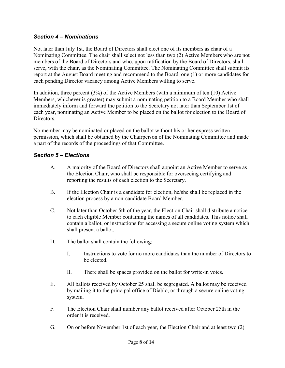#### Section 4 – Nominations

Not later than July 1st, the Board of Directors shall elect one of its members as chair of a Nominating Committee. The chair shall select not less than two (2) Active Members who are not members of the Board of Directors and who, upon ratification by the Board of Directors, shall serve, with the chair, as the Nominating Committee. The Nominating Committee shall submit its report at the August Board meeting and recommend to the Board, one (1) or more candidates for each pending Director vacancy among Active Members willing to serve.

In addition, three percent (3%) of the Active Members (with a minimum of ten (10) Active Members, whichever is greater) may submit a nominating petition to a Board Member who shall immediately inform and forward the petition to the Secretary not later than September 1st of each year, nominating an Active Member to be placed on the ballot for election to the Board of Directors.

No member may be nominated or placed on the ballot without his or her express written permission, which shall be obtained by the Chairperson of the Nominating Committee and made a part of the records of the proceedings of that Committee.

## Section 5 – Elections

- A. A majority of the Board of Directors shall appoint an Active Member to serve as the Election Chair, who shall be responsible for overseeing certifying and reporting the results of each election to the Secretary.
- B. If the Election Chair is a candidate for election, he/she shall be replaced in the election process by a non-candidate Board Member.
- C. Not later than October 5th of the year, the Election Chair shall distribute a notice to each eligible Member containing the names of all candidates. This notice shall contain a ballot, or instructions for accessing a secure online voting system which shall present a ballot.
- D. The ballot shall contain the following:
	- I. Instructions to vote for no more candidates than the number of Directors to be elected.
	- II. There shall be spaces provided on the ballot for write-in votes.
- E. All ballots received by October 25 shall be segregated. A ballot may be received by mailing it to the principal office of Diablo, or through a secure online voting system.
- F. The Election Chair shall number any ballot received after October 25th in the order it is received.
- G. On or before November 1st of each year, the Election Chair and at least two (2)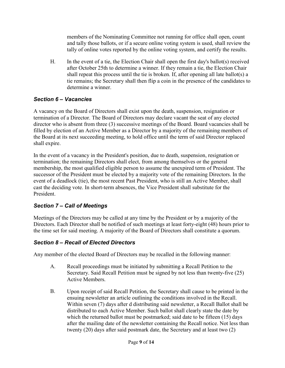members of the Nominating Committee not running for office shall open, count and tally those ballots, or if a secure online voting system is used, shall review the tally of online votes reported by the online voting system, and certify the results.

H. In the event of a tie, the Election Chair shall open the first day's ballot(s) received after October 25th to determine a winner. If they remain a tie, the Election Chair shall repeat this process until the tie is broken. If, after opening all late ballot(s) a tie remains; the Secretary shall then flip a coin in the presence of the candidates to determine a winner.

## Section 6 – Vacancies

A vacancy on the Board of Directors shall exist upon the death, suspension, resignation or termination of a Director. The Board of Directors may declare vacant the seat of any elected director who is absent from three (3) successive meetings of the Board. Board vacancies shall be filled by election of an Active Member as a Director by a majority of the remaining members of the Board at its next succeeding meeting, to hold office until the term of said Director replaced shall expire.

In the event of a vacancy in the President's position, due to death, suspension, resignation or termination; the remaining Directors shall elect, from among themselves or the general membership, the most qualified eligible person to assume the unexpired term of President. The successor of the President must be elected by a majority vote of the remaining Directors. In the event of a deadlock (tie), the most recent Past President, who is still an Active Member, shall cast the deciding vote. In short-term absences, the Vice President shall substitute for the President.

# Section 7 – Call of Meetings

Meetings of the Directors may be called at any time by the President or by a majority of the Directors. Each Director shall be notified of such meetings at least forty-eight (48) hours prior to the time set for said meeting. A majority of the Board of Directors shall constitute a quorum.

# Section 8 – Recall of Elected Directors

Any member of the elected Board of Directors may be recalled in the following manner:

- A. Recall proceedings must be initiated by submitting a Recall Petition to the Secretary. Said Recall Petition must be signed by not less than twenty-five (25) Active Members.
- B. Upon receipt of said Recall Petition, the Secretary shall cause to be printed in the ensuing newsletter an article outlining the conditions involved in the Recall. Within seven (7) days after d distributing said newsletter, a Recall Ballot shall be distributed to each Active Member. Such ballot shall clearly state the date by which the returned ballot must be postmarked; said date to be fifteen (15) days after the mailing date of the newsletter containing the Recall notice. Not less than twenty (20) days after said postmark date, the Secretary and at least two (2)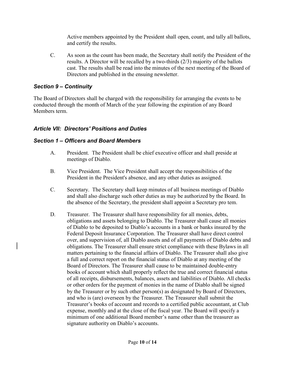Active members appointed by the President shall open, count, and tally all ballots, and certify the results.

C. As soon as the count has been made, the Secretary shall notify the President of the results. A Director will be recalled by a two-thirds (2/3) majority of the ballots cast. The results shall be read into the minutes of the next meeting of the Board of Directors and published in the ensuing newsletter.

#### Section 9 – Continuity

The Board of Directors shall be charged with the responsibility for arranging the events to be conducted through the month of March of the year following the expiration of any Board Members term.

## Article VII: Directors' Positions and Duties

## Section 1 – Officers and Board Members

- A. President. The President shall be chief executive officer and shall preside at meetings of Diablo.
- B. Vice President. The Vice President shall accept the responsibilities of the President in the President's absence, and any other duties as assigned.
- C. Secretary. The Secretary shall keep minutes of all business meetings of Diablo and shall also discharge such other duties as may be authorized by the Board. In the absence of the Secretary, the president shall appoint a Secretary pro tem.
- D. Treasurer. The Treasurer shall have responsibility for all monies, debts, obligations and assets belonging to Diablo. The Treasurer shall cause all monies of Diablo to be deposited to Diablo's accounts in a bank or banks insured by the Federal Deposit Insurance Corporation. The Treasurer shall have direct control over, and supervision of, all Diablo assets and of all payments of Diablo debts and obligations. The Treasurer shall ensure strict compliance with these Bylaws in all matters pertaining to the financial affairs of Diablo. The Treasurer shall also give a full and correct report on the financial status of Diablo at any meeting of the Board of Directors. The Treasurer shall cause to be maintained double-entry books of account which shall properly reflect the true and correct financial status of all receipts, disbursements, balances, assets and liabilities of Diablo. All checks or other orders for the payment of monies in the name of Diablo shall be signed by the Treasurer or by such other person(s) as designated by Board of Directors, and who is (are) overseen by the Treasurer. The Treasurer shall submit the Treasurer's books of account and records to a certified public accountant, at Club expense, monthly and at the close of the fiscal year. The Board will specify a minimum of one additional Board member's name other than the treasurer as signature authority on Diablo's accounts.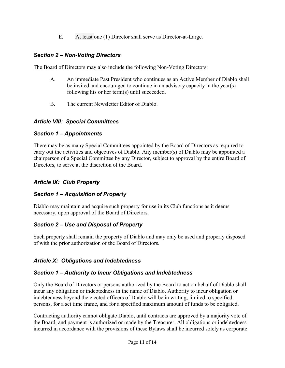E. At least one (1) Director shall serve as Director-at-Large.

## Section 2 – Non-Voting Directors

The Board of Directors may also include the following Non-Voting Directors:

- A. An immediate Past President who continues as an Active Member of Diablo shall be invited and encouraged to continue in an advisory capacity in the year(s) following his or her term(s) until succeeded.
- B. The current Newsletter Editor of Diablo.

#### Article VIII: Special Committees

## Section 1 – Appointments

There may be as many Special Committees appointed by the Board of Directors as required to carry out the activities and objectives of Diablo. Any member(s) of Diablo may be appointed a chairperson of a Special Committee by any Director, subject to approval by the entire Board of Directors, to serve at the discretion of the Board.

## Article IX: Club Property

## Section 1 – Acquisition of Property

Diablo may maintain and acquire such property for use in its Club functions as it deems necessary, upon approval of the Board of Directors.

## Section 2 – Use and Disposal of Property

Such property shall remain the property of Diablo and may only be used and properly disposed of with the prior authorization of the Board of Directors.

## Article X: Obligations and Indebtedness

## Section 1 – Authority to Incur Obligations and Indebtedness

Only the Board of Directors or persons authorized by the Board to act on behalf of Diablo shall incur any obligation or indebtedness in the name of Diablo. Authority to incur obligation or indebtedness beyond the elected officers of Diablo will be in writing, limited to specified persons, for a set time frame, and for a specified maximum amount of funds to be obligated.

Contracting authority cannot obligate Diablo, until contracts are approved by a majority vote of the Board, and payment is authorized or made by the Treasurer. All obligations or indebtedness incurred in accordance with the provisions of these Bylaws shall be incurred solely as corporate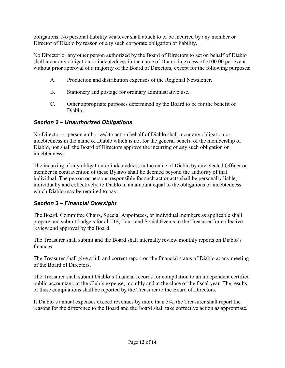obligations. No personal liability whatever shall attach to or be incurred by any member or Director of Diablo by reason of any such corporate obligation or liability.

No Director or any other person authorized by the Board of Directors to act on behalf of Diablo shall incur any obligation or indebtedness in the name of Diablo in excess of \$100.00 per event without prior approval of a majority of the Board of Directors, except for the following purposes:

- A. Production and distribution expenses of the Regional Newsletter.
- B. Stationery and postage for ordinary administrative use.
- C. Other appropriate purposes determined by the Board to be for the benefit of Diablo.

## Section 2 – Unauthorized Obligations

No Director or person authorized to act on behalf of Diablo shall incur any obligation or indebtedness in the name of Diablo which is not for the general benefit of the membership of Diablo, nor shall the Board of Directors approve the incurring of any such obligation or indebtedness.

The incurring of any obligation or indebtedness in the name of Diablo by any elected Officer or member in contravention of these Bylaws shall be deemed beyond the authority of that individual. The person or persons responsible for such act or acts shall be personally liable, individually and collectively, to Diablo in an amount equal to the obligations or indebtedness which Diablo may be required to pay.

# Section 3 – Financial Oversight

The Board, Committee Chairs, Special Appointees, or individual members as applicable shall prepare and submit budgets for all DE, Tour, and Social Events to the Treasurer for collective review and approval by the Board.

The Treasurer shall submit and the Board shall internally review monthly reports on Diablo's finances.

The Treasurer shall give a full and correct report on the financial status of Diablo at any meeting of the Board of Directors.

The Treasurer shall submit Diablo's financial records for compilation to an independent certified public accountant, at the Club's expense, monthly and at the close of the fiscal year. The results of these compilations shall be reported by the Treasurer to the Board of Directors.

If Diablo's annual expenses exceed revenues by more than 5%, the Treasurer shall report the reasons for the difference to the Board and the Board shall take corrective action as appropriate.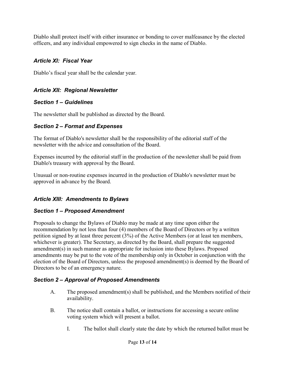Diablo shall protect itself with either insurance or bonding to cover malfeasance by the elected officers, and any individual empowered to sign checks in the name of Diablo.

## Article XI: Fiscal Year

Diablo's fiscal year shall be the calendar year.

## Article XII: Regional Newsletter

## Section 1 – Guidelines

The newsletter shall be published as directed by the Board.

## Section 2 – Format and Expenses

The format of Diablo's newsletter shall be the responsibility of the editorial staff of the newsletter with the advice and consultation of the Board.

Expenses incurred by the editorial staff in the production of the newsletter shall be paid from Diablo's treasury with approval by the Board.

Unusual or non-routine expenses incurred in the production of Diablo's newsletter must be approved in advance by the Board.

# Article XIII: Amendments to Bylaws

# Section 1 – Proposed Amendment

Proposals to change the Bylaws of Diablo may be made at any time upon either the recommendation by not less than four (4) members of the Board of Directors or by a written petition signed by at least three percent (3%) of the Active Members (or at least ten members, whichever is greater). The Secretary, as directed by the Board, shall prepare the suggested amendment(s) in such manner as appropriate for inclusion into these Bylaws. Proposed amendments may be put to the vote of the membership only in October in conjunction with the election of the Board of Directors, unless the proposed amendment(s) is deemed by the Board of Directors to be of an emergency nature.

# Section 2 – Approval of Proposed Amendments

- A. The proposed amendment(s) shall be published, and the Members notified of their availability.
- B. The notice shall contain a ballot, or instructions for accessing a secure online voting system which will present a ballot.
	- I. The ballot shall clearly state the date by which the returned ballot must be